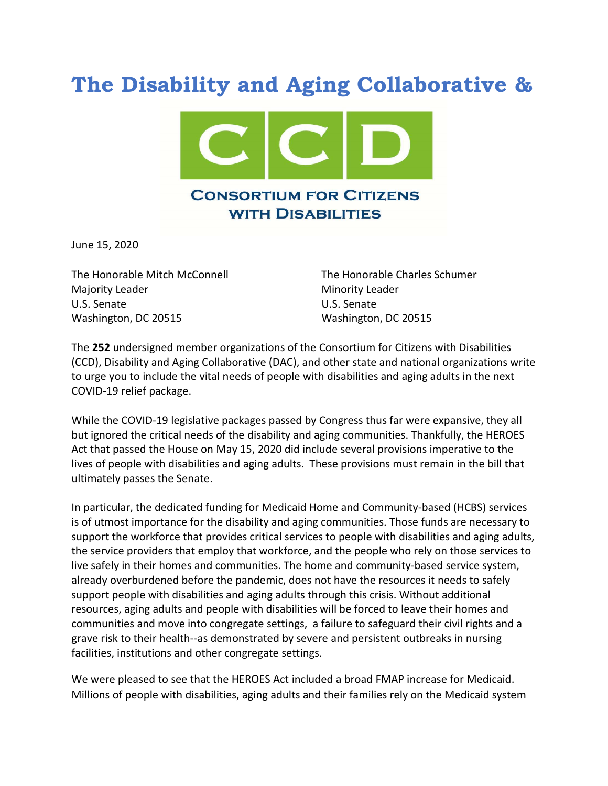## The Disability and Aging Collaborative &



June 15, 2020

Majority Leader **Minority Leader** Minority Leader U.S. Senate U.S. Senate Washington, DC 20515 Washington, DC 20515

The Honorable Mitch McConnell The Honorable Charles Schumer

The 252 undersigned member organizations of the Consortium for Citizens with Disabilities (CCD), Disability and Aging Collaborative (DAC), and other state and national organizations write to urge you to include the vital needs of people with disabilities and aging adults in the next COVID-19 relief package.

While the COVID-19 legislative packages passed by Congress thus far were expansive, they all but ignored the critical needs of the disability and aging communities. Thankfully, the HEROES Act that passed the House on May 15, 2020 did include several provisions imperative to the lives of people with disabilities and aging adults. These provisions must remain in the bill that ultimately passes the Senate.

In particular, the dedicated funding for Medicaid Home and Community-based (HCBS) services is of utmost importance for the disability and aging communities. Those funds are necessary to support the workforce that provides critical services to people with disabilities and aging adults, the service providers that employ that workforce, and the people who rely on those services to live safely in their homes and communities. The home and community-based service system, already overburdened before the pandemic, does not have the resources it needs to safely support people with disabilities and aging adults through this crisis. Without additional resources, aging adults and people with disabilities will be forced to leave their homes and communities and move into congregate settings, a failure to safeguard their civil rights and a grave risk to their health--as demonstrated by severe and persistent outbreaks in nursing facilities, institutions and other congregate settings.

We were pleased to see that the HEROES Act included a broad FMAP increase for Medicaid. Millions of people with disabilities, aging adults and their families rely on the Medicaid system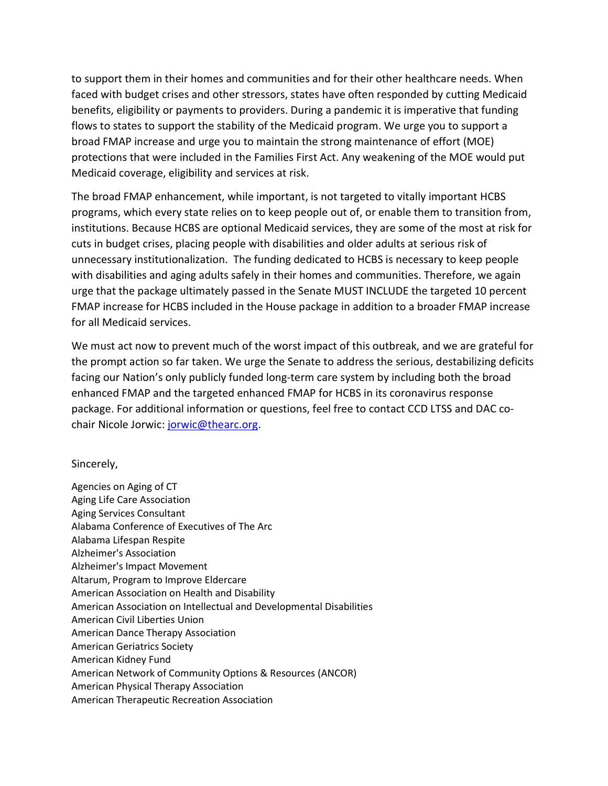to support them in their homes and communities and for their other healthcare needs. When faced with budget crises and other stressors, states have often responded by cutting Medicaid benefits, eligibility or payments to providers. During a pandemic it is imperative that funding flows to states to support the stability of the Medicaid program. We urge you to support a broad FMAP increase and urge you to maintain the strong maintenance of effort (MOE) protections that were included in the Families First Act. Any weakening of the MOE would put Medicaid coverage, eligibility and services at risk.

The broad FMAP enhancement, while important, is not targeted to vitally important HCBS programs, which every state relies on to keep people out of, or enable them to transition from, institutions. Because HCBS are optional Medicaid services, they are some of the most at risk for cuts in budget crises, placing people with disabilities and older adults at serious risk of unnecessary institutionalization. The funding dedicated to HCBS is necessary to keep people with disabilities and aging adults safely in their homes and communities. Therefore, we again urge that the package ultimately passed in the Senate MUST INCLUDE the targeted 10 percent FMAP increase for HCBS included in the House package in addition to a broader FMAP increase for all Medicaid services.

We must act now to prevent much of the worst impact of this outbreak, and we are grateful for the prompt action so far taken. We urge the Senate to address the serious, destabilizing deficits facing our Nation's only publicly funded long-term care system by including both the broad enhanced FMAP and the targeted enhanced FMAP for HCBS in its coronavirus response package. For additional information or questions, feel free to contact CCD LTSS and DAC cochair Nicole Jorwic: jorwic@thearc.org.

## Sincerely,

Agencies on Aging of CT Aging Life Care Association Aging Services Consultant Alabama Conference of Executives of The Arc Alabama Lifespan Respite Alzheimer's Association Alzheimer's Impact Movement Altarum, Program to Improve Eldercare American Association on Health and Disability American Association on Intellectual and Developmental Disabilities American Civil Liberties Union American Dance Therapy Association American Geriatrics Society American Kidney Fund American Network of Community Options & Resources (ANCOR) American Physical Therapy Association American Therapeutic Recreation Association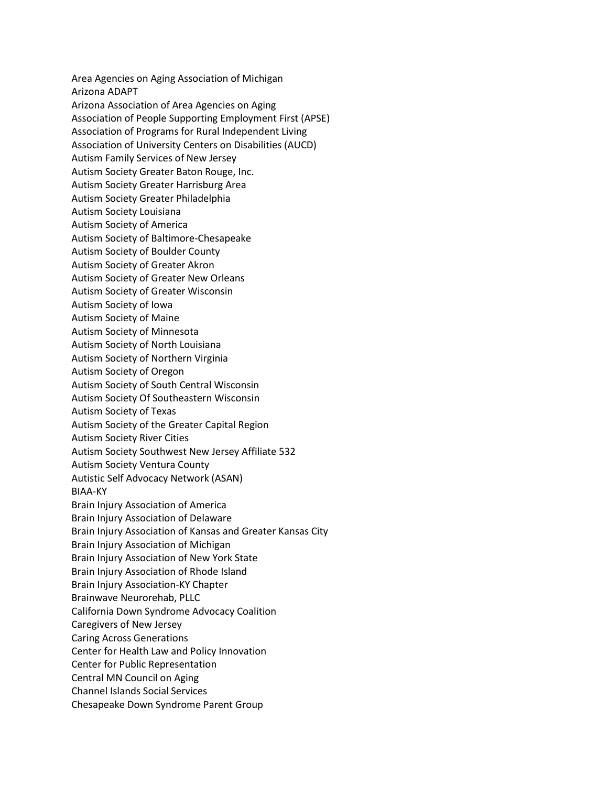Area Agencies on Aging Association of Michigan Arizona ADAPT Arizona Association of Area Agencies on Aging Association of People Supporting Employment First (APSE) Association of Programs for Rural Independent Living Association of University Centers on Disabilities (AUCD) Autism Family Services of New Jersey Autism Society Greater Baton Rouge, Inc. Autism Society Greater Harrisburg Area Autism Society Greater Philadelphia Autism Society Louisiana Autism Society of America Autism Society of Baltimore-Chesapeake Autism Society of Boulder County Autism Society of Greater Akron Autism Society of Greater New Orleans Autism Society of Greater Wisconsin Autism Society of Iowa Autism Society of Maine Autism Society of Minnesota Autism Society of North Louisiana Autism Society of Northern Virginia Autism Society of Oregon Autism Society of South Central Wisconsin Autism Society Of Southeastern Wisconsin Autism Society of Texas Autism Society of the Greater Capital Region Autism Society River Cities Autism Society Southwest New Jersey Affiliate 532 Autism Society Ventura County Autistic Self Advocacy Network (ASAN) BIAA-KY Brain Injury Association of America Brain Injury Association of Delaware Brain Injury Association of Kansas and Greater Kansas City Brain Injury Association of Michigan Brain Injury Association of New York State Brain Injury Association of Rhode Island Brain Injury Association-KY Chapter Brainwave Neurorehab, PLLC California Down Syndrome Advocacy Coalition Caregivers of New Jersey Caring Across Generations Center for Health Law and Policy Innovation Center for Public Representation Central MN Council on Aging Channel Islands Social Services Chesapeake Down Syndrome Parent Group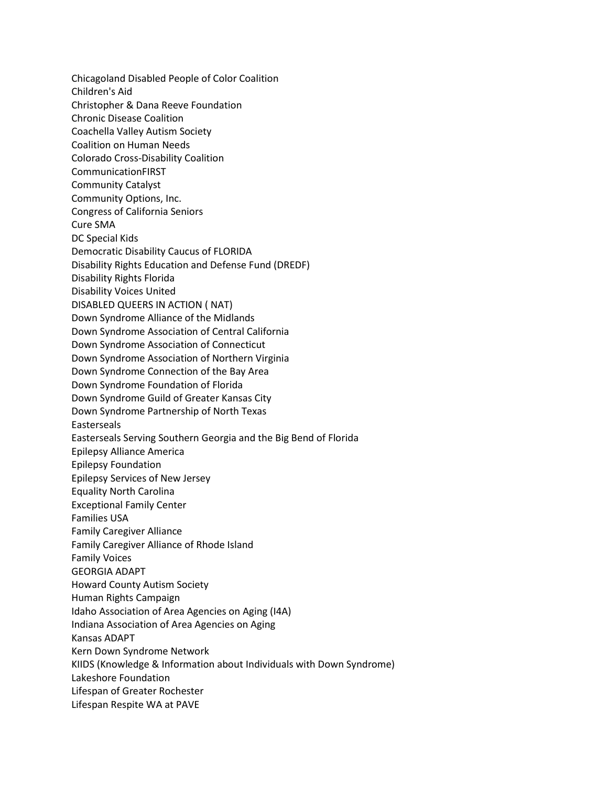Chicagoland Disabled People of Color Coalition Children's Aid Christopher & Dana Reeve Foundation Chronic Disease Coalition Coachella Valley Autism Society Coalition on Human Needs Colorado Cross-Disability Coalition CommunicationFIRST Community Catalyst Community Options, Inc. Congress of California Seniors Cure SMA DC Special Kids Democratic Disability Caucus of FLORIDA Disability Rights Education and Defense Fund (DREDF) Disability Rights Florida Disability Voices United DISABLED QUEERS IN ACTION ( NAT) Down Syndrome Alliance of the Midlands Down Syndrome Association of Central California Down Syndrome Association of Connecticut Down Syndrome Association of Northern Virginia Down Syndrome Connection of the Bay Area Down Syndrome Foundation of Florida Down Syndrome Guild of Greater Kansas City Down Syndrome Partnership of North Texas Easterseals Easterseals Serving Southern Georgia and the Big Bend of Florida Epilepsy Alliance America Epilepsy Foundation Epilepsy Services of New Jersey Equality North Carolina Exceptional Family Center Families USA Family Caregiver Alliance Family Caregiver Alliance of Rhode Island Family Voices GEORGIA ADAPT Howard County Autism Society Human Rights Campaign Idaho Association of Area Agencies on Aging (I4A) Indiana Association of Area Agencies on Aging Kansas ADAPT Kern Down Syndrome Network KIIDS (Knowledge & Information about Individuals with Down Syndrome) Lakeshore Foundation Lifespan of Greater Rochester Lifespan Respite WA at PAVE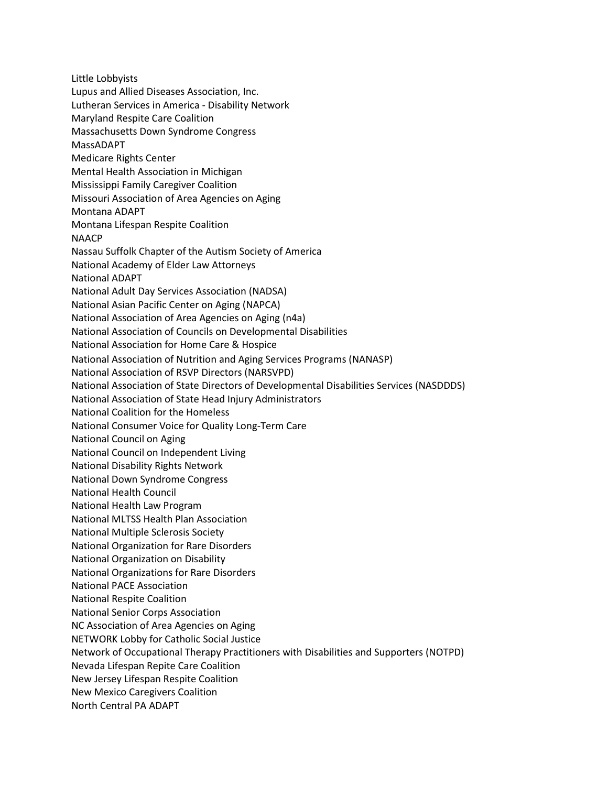Little Lobbyists Lupus and Allied Diseases Association, Inc. Lutheran Services in America - Disability Network Maryland Respite Care Coalition Massachusetts Down Syndrome Congress MassADAPT Medicare Rights Center Mental Health Association in Michigan Mississippi Family Caregiver Coalition Missouri Association of Area Agencies on Aging Montana ADAPT Montana Lifespan Respite Coalition NAACP Nassau Suffolk Chapter of the Autism Society of America National Academy of Elder Law Attorneys National ADAPT National Adult Day Services Association (NADSA) National Asian Pacific Center on Aging (NAPCA) National Association of Area Agencies on Aging (n4a) National Association of Councils on Developmental Disabilities National Association for Home Care & Hospice National Association of Nutrition and Aging Services Programs (NANASP) National Association of RSVP Directors (NARSVPD) National Association of State Directors of Developmental Disabilities Services (NASDDDS) National Association of State Head Injury Administrators National Coalition for the Homeless National Consumer Voice for Quality Long-Term Care National Council on Aging National Council on Independent Living National Disability Rights Network National Down Syndrome Congress National Health Council National Health Law Program National MLTSS Health Plan Association National Multiple Sclerosis Society National Organization for Rare Disorders National Organization on Disability National Organizations for Rare Disorders National PACE Association National Respite Coalition National Senior Corps Association NC Association of Area Agencies on Aging NETWORK Lobby for Catholic Social Justice Network of Occupational Therapy Practitioners with Disabilities and Supporters (NOTPD) Nevada Lifespan Repite Care Coalition New Jersey Lifespan Respite Coalition New Mexico Caregivers Coalition North Central PA ADAPT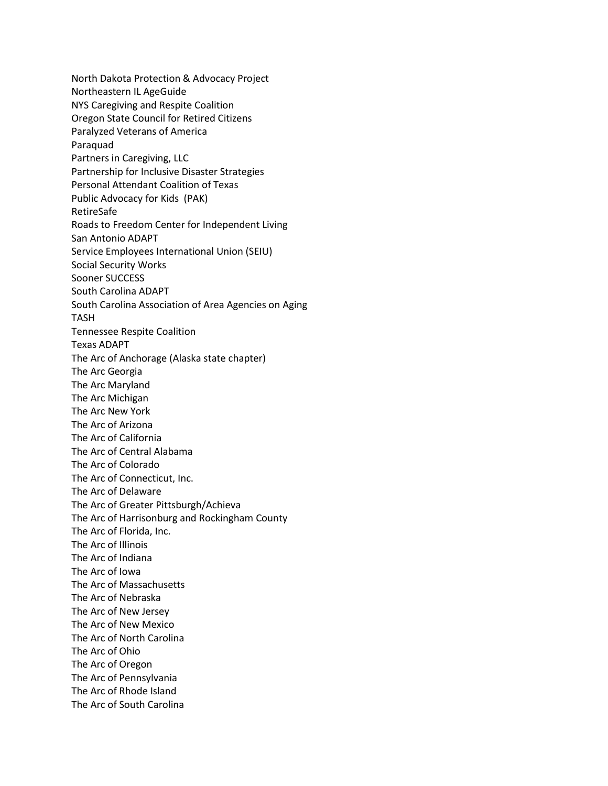North Dakota Protection & Advocacy Project Northeastern IL AgeGuide NYS Caregiving and Respite Coalition Oregon State Council for Retired Citizens Paralyzed Veterans of America Paraquad Partners in Caregiving, LLC Partnership for Inclusive Disaster Strategies Personal Attendant Coalition of Texas Public Advocacy for Kids (PAK) RetireSafe Roads to Freedom Center for Independent Living San Antonio ADAPT Service Employees International Union (SEIU) Social Security Works Sooner SUCCESS South Carolina ADAPT South Carolina Association of Area Agencies on Aging TASH Tennessee Respite Coalition Texas ADAPT The Arc of Anchorage (Alaska state chapter) The Arc Georgia The Arc Maryland The Arc Michigan The Arc New York The Arc of Arizona The Arc of California The Arc of Central Alabama The Arc of Colorado The Arc of Connecticut, Inc. The Arc of Delaware The Arc of Greater Pittsburgh/Achieva The Arc of Harrisonburg and Rockingham County The Arc of Florida, Inc. The Arc of Illinois The Arc of Indiana The Arc of Iowa The Arc of Massachusetts The Arc of Nebraska The Arc of New Jersey The Arc of New Mexico The Arc of North Carolina The Arc of Ohio The Arc of Oregon The Arc of Pennsylvania The Arc of Rhode Island The Arc of South Carolina